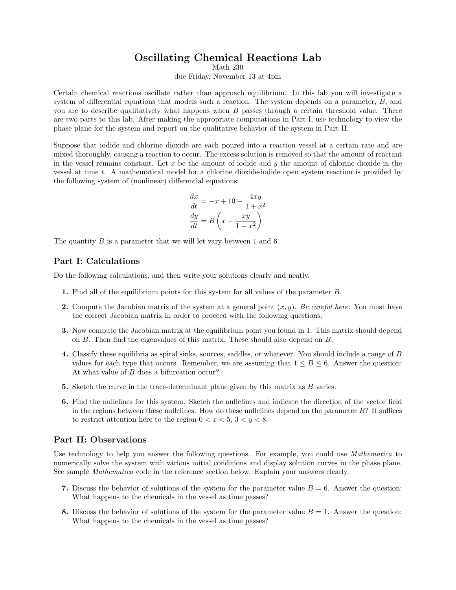# Oscillating Chemical Reactions Lab

Math 230

due Friday, November 13 at 4pm

Certain chemical reactions oscillate rather than approach equilibrium. In this lab you will investigate a system of differential equations that models such a reaction. The system depends on a parameter,  $B$ , and you are to describe qualitatively what happens when  $B$  passes through a certain threshold value. There are two parts to this lab. After making the appropriate computations in Part I, use technology to view the phase plane for the system and report on the qualitative behavior of the system in Part II.

Suppose that iodide and chlorine dioxide are each poured into a reaction vessel at a certain rate and are mixed thoroughly, causing a reaction to occur. The excess solution is removed so that the amount of reactant in the vessel remains constant. Let  $x$  be the amount of iodide and  $y$  the amount of chlorine dioxide in the vessel at time t. A mathematical model for a chlorine dioxide-iodide open system reaction is provided by the following system of (nonlinear) differential equations:

$$
\frac{dx}{dt} = -x + 10 - \frac{4xy}{1+x^2}
$$

$$
\frac{dy}{dt} = B\left(x - \frac{xy}{1+x^2}\right)
$$

The quantity  $B$  is a parameter that we will let vary between 1 and 6.

### Part I: Calculations

Do the following calculations, and then write your solutions clearly and neatly.

- 1. Find all of the equilibrium points for this system for all values of the parameter B.
- 2. Compute the Jacobian matrix of the system at a general point  $(x, y)$ . Be careful here: You must have the correct Jacobian matrix in order to proceed with the following questions.
- 3. Now compute the Jacobian matrix at the equilibrium point you found in 1. This matrix should depend on B. Then find the eigenvalues of this matrix. These should also depend on B.
- 4. Classify these equilibria as spiral sinks, sources, saddles, or whatever. You should include a range of B values for each type that occurs. Remember, we are assuming that  $1 \leq B \leq 6$ . Answer the question: At what value of B does a bifurcation occur?
- 5. Sketch the curve in the trace-determinant plane given by this matrix as B varies.
- 6. Find the nullclines for this system. Sketch the nullclines and indicate the direction of the vector field in the regions between these nullclines. How do these nullclines depend on the parameter  $B$ ? It suffices to restrict attention here to the region  $0 < x < 5$ ,  $3 < y < 8$ .

### Part II: Observations

Use technology to help you answer the following questions. For example, you could use *Mathematica* to numerically solve the system with various initial conditions and display solution curves in the phase plane. See sample Mathematica code in the reference section below. Explain your answers clearly.

- 7. Discuss the behavior of solutions of the system for the parameter value  $B = 6$ . Answer the question: What happens to the chemicals in the vessel as time passes?
- 8. Discuss the behavior of solutions of the system for the parameter value  $B = 1$ . Answer the question: What happens to the chemicals in the vessel as time passes?